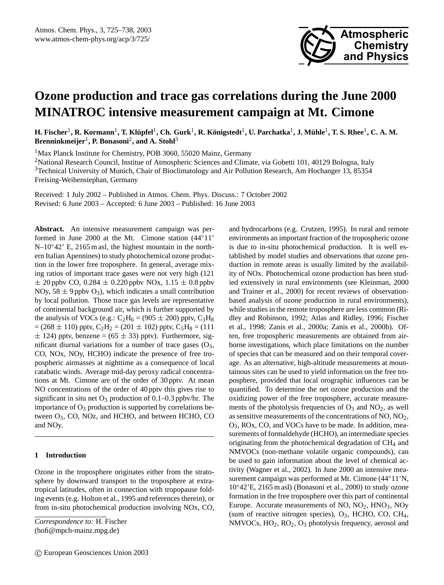

# **Ozone production and trace gas correlations during the June 2000 MINATROC intensive measurement campaign at Mt. Cimone**

 $H$ . Fischer<sup>1</sup>, R. Kormann<sup>1</sup>, T. Klüpfel<sup>1</sup>, Ch. Gurk<sup>1</sup>, R. Königstedt<sup>1</sup>, U. Parchatka<sup>1</sup>, J. Mühle<sup>1</sup>, T. S. Rhee<sup>1</sup>, C. A. M. **Brenninkmeijer**<sup>1</sup> **, P. Bonasoni**<sup>2</sup> **, and A. Stohl**<sup>3</sup>

<sup>1</sup>Max Planck Institute for Chemistry, POB 3060, 55020 Mainz, Germany

<sup>2</sup>National Research Council, Institue of Atmospheric Sciences and Climate, via Gobetti 101, 40129 Bologna, Italy <sup>3</sup>Technical University of Munich, Chair of Bioclimatology and Air Pollution Research, Am Hochanger 13, 85354 Freising-Weihenstephan, Germany

Received: 1 July 2002 – Published in Atmos. Chem. Phys. Discuss.: 7 October 2002 Revised: 6 June 2003 – Accepted: 6 June 2003 – Published: 16 June 2003

**Abstract.** An intensive measurement campaign was performed in June 2000 at the Mt. Cimone station (44◦11' N–10<sup>°</sup>42<sup>′</sup> E, 2165 m asl, the highest mountain in the northern Italian Apennines) to study photochemical ozone production in the lower free troposphere. In general, average mixing ratios of important trace gases were not very high (121  $\pm$  20 ppbv CO, 0.284  $\pm$  0.220 ppbv NOx, 1.15  $\pm$  0.8 ppbv NOy,  $58 \pm 9$  ppbv O<sub>3</sub>), which indicates a small contribution by local pollution. Those trace gas levels are representative of continental background air, which is further supported by the analysis of VOCs (e.g.:  $C_2H_6 = (905 \pm 200)$  pptv,  $C_3H_8$  $= (268 \pm 110)$  pptv,  $C_2H_2 = (201 \pm 102)$  pptv,  $C_5H_8 = (111)$  $\pm$  124) pptv, benzene = (65  $\pm$  33) pptv). Furthermore, significant diurnal variations for a number of trace gases  $(O_3,$ CO, NOx, NOy, HCHO) indicate the presence of free tropospheric airmasses at nighttime as a consequence of local catabatic winds. Average mid-day peroxy radical concentrations at Mt. Cimone are of the order of 30 pptv. At mean NO concentrations of the order of 40 pptv this gives rise to significant in situ net  $O_3$  production of 0.1–0.3 ppbv/hr. The importance of  $O_3$  production is supported by correlations between O3, CO, NOz, and HCHO, and between HCHO, CO and NOy.

# **1 Introduction**

Ozone in the troposphere originates either from the stratosphere by downward transport to the troposphere at extratropical latitudes, often in connection with tropopause folding events (e.g. Holton et al., 1995 and references therein), or from in-situ photochemical production involving NOx, CO,

(hofi@mpch-mainz.mpg.de)

and hydrocarbons (e.g. Crutzen, 1995). In rural and remote environments an important fraction of the tropospheric ozone is due to in-situ photochemical production. It is well established by model studies and observations that ozone production in remote areas is usually limited by the availability of NOx. Photochemical ozone production has been studied extensively in rural environments (see Kleinman, 2000 and Trainer et al., 2000) for recent reviews of observationbased analysis of ozone production in rural environments), while studies in the remote troposphere are less common (Ridley and Robinson, 1992; Atlas and Ridley, 1996; Fischer et al., 1998; Zanis et al., 2000a; Zanis et al., 2000b). Often, free tropospheric measurements are obtained from airborne investigations, which place limitations on the number of species that can be measured and on their temporal coverage. As an alternative, high-altitude measurements at mountainous sites can be used to yield information on the free troposphere, provided that local orographic influences can be quantified. To determine the net ozone production and the oxidizing power of the free troposphere, accurate measurements of the photolysis frequencies of  $O_3$  and  $NO_2$ , as well as sensitive measurements of the concentrations of NO, NO<sub>2</sub>, O3, ROx, CO, and VOCs have to be made. In addition, measurements of formaldehyde (HCHO), an intermediate species originating from the photochemical degradation of CH<sup>4</sup> and NMVOCs (non-methane volatile organic compounds), can be used to gain information about the level of chemical activity (Wagner et al., 2002). In June 2000 an intensive measurement campaign was performed at Mt. Cimone (44°11'N, 10◦42'E, 2165 m asl) (Bonasoni et al., 2000) to study ozone formation in the free troposphere over this part of continental Europe. Accurate measurements of  $NO$ ,  $NO<sub>2</sub>$ ,  $HNO<sub>3</sub>$ ,  $NO<sub>y</sub>$ (sum of reactive nitrogen species),  $O_3$ , HCHO, CO, CH<sub>4</sub>, NMVOCs, HO<sub>2</sub>, RO<sub>2</sub>, O<sub>3</sub> photolysis frequency, aerosol and

*Correspondence to:* H. Fischer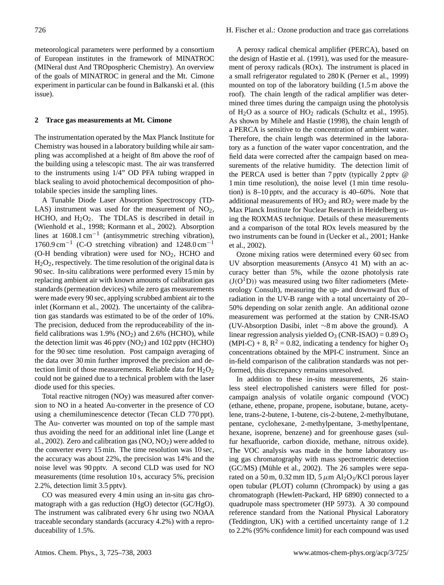meteorological parameters were performed by a consortium of European institutes in the framework of MINATROC (MINeral dust And TROpospheric Chemistry). An overview of the goals of MINATROC in general and the Mt. Cimone experiment in particular can be found in Balkanski et al. (this issue).

# **2 Trace gas measurements at Mt. Cimone**

The instrumentation operated by the Max Planck Institute for Chemistry was housed in a laboratory building while air sampling was accomplished at a height of 8m above the roof of the building using a telescopic mast. The air was transferred to the instruments using 1/4" OD PFA tubing wrapped in black sealing to avoid photochemical decomposition of photolabile species inside the sampling lines.

A Tunable Diode Laser Absorption Spectroscopy (TD-LAS) instrument was used for the measurement of  $NO<sub>2</sub>$ , HCHO, and  $H_2O_2$ . The TDLAS is described in detail in (Wienhold et al., 1998; Kormann et al., 2002). Absorption lines at 1608.1 cm−<sup>1</sup> (antisymmetric streching vibration), 1760.9 cm−<sup>1</sup> (C-O stretching vibration) and 1248.0 cm−<sup>1</sup> (O-H bending vibration) were used for  $NO<sub>2</sub>$ , HCHO and  $H<sub>2</sub>O<sub>2</sub>$ , respectively. The time resolution of the original data is 90 sec. In-situ calibrations were performed every 15 min by replacing ambient air with known amounts of calibration gas standards (permeation devices) while zero gas measurements were made every 90 sec, applying scrubbed ambient air to the inlet (Kormann et al., 2002). The uncertainty of the calibration gas standards was estimated to be of the order of 10%. The precision, deduced from the reproduceability of the infield calibrations was  $1.9\%$  (NO<sub>2</sub>) and  $2.6\%$  (HCHO), while the detection limit was  $46$  pptv (NO<sub>2</sub>) and 102 pptv (HCHO) for the 90 sec time resolution. Post campaign averaging of the data over 30 min further improved the precision and detection limit of those measurements. Reliable data for  $H_2O_2$ could not be gained due to a technical problem with the laser diode used for this species.

Total reactive nitrogen (NOy) was measured after conversion to NO in a heated Au-converter in the presence of CO using a chemiluminescence detector (Tecan CLD 770 ppt). The Au- converter was mounted on top of the sample mast thus avoiding the need for an additional inlet line (Lange et al., 2002). Zero and calibration gas  $(NO, NO<sub>2</sub>)$  were added to the converter every 15 min. The time resolution was 10 sec, the accuracy was about 22%, the precision was 14% and the noise level was 90 pptv. A second CLD was used for NO measurements (time resolution 10 s, accuracy 5%, precision 2.2%, detection limit 3.5 pptv).

CO was measured every 4 min using an in-situ gas chromatograph with a gas reduction (HgO) detector (GC/HgO). The instrument was calibrated every 6 hr using two NOAA traceable secondary standards (accuracy 4.2%) with a reproduceability of 1.5%.

A peroxy radical chemical amplifier (PERCA), based on the design of Hastie et al. (1991), was used for the measurement of peroxy radicals (ROx). The instrument is placed in a small refrigerator regulated to 280 K (Perner et al., 1999) mounted on top of the laboratory building (1.5 m above the roof). The chain length of the radical amplifier was determined three times during the campaign using the photolysis of  $H_2O$  as a source of  $HO_2$  radicals (Schultz et al., 1995). As shown by Mihele and Hastie (1998), the chain length of a PERCA is sensitive to the concentration of ambient water. Therefore, the chain length was determined in the laboratory as a function of the water vapor concentration, and the field data were corrected after the campaign based on measurements of the relative humidity. The detection limit of the PERCA used is better than 7 pptv (typically 2 pptv @ 1 min time resolution), the noise level (1 min time resolution) is 8–10 pptv, and the accuracy is 40–60%. Note that additional measurements of  $HO<sub>2</sub>$  and  $RO<sub>2</sub>$  were made by the Max Planck Institute for Nuclear Research in Heidelberg using the ROXMAS technique. Details of these measurements and a comparison of the total ROx levels measured by the two instruments can be found in (Uecker et al., 2001; Hanke et al., 2002).

Ozone mixing ratios were determined every 60 sec from UV absorption measurements (Ansyco 41 M) with an accuracy better than 5%, while the ozone photolysis rate  $(J(O<sup>1</sup>D))$  was measured using two filter radiometers (Meteorology Consult), measuring the up- and downward flux of radiation in the UV-B range with a total uncertainty of 20– 50% depending on solar zenith angle. An additional ozone measurement was performed at the station by CNR-ISAO (UV-Absorption Dasibi, inlet ∼8 m above the ground). A linear regression analysis yielded  $O_3$  (CNR-ISAO) = 0.89  $O_3$  $(MPI-C) + 8$ ,  $R^2 = 0.82$ , indicating a tendency for higher O<sub>3</sub> concentrations obtained by the MPI-C instrument. Since an in-field comparison of the calibration standards was not performed, this discrepancy remains unresolved.

In addition to these in-situ measurements, 26 stainless steel electropolished canisters were filled for postcampaign analysis of volatile organic compound (VOC) (ethane, ethene, propane, propene, isobutane, butane, acetylene, trans-2-butene, 1-butene, cis-2-butene, 2-methylbutane, pentane, cyclohexane, 2-methylpentane, 3-methylpentane, hexane, isoprene, benzene) and for greenhouse gases (sulfur hexafluoride, carbon dioxide, methane, nitrous oxide). The VOC analysis was made in the home laboratory using gas chromatography with mass spectrometric detection (GC/MS) (Mühle et al., 2002). The 26 samples were separated on a 50 m, 0.32 mm ID, 5  $\mu$ m Al<sub>2</sub>O<sub>3</sub>/KCl porous layer open tubular (PLOT) column (Chrompack) by using a gas chromatograph (Hewlett-Packard, HP 6890) connected to a quadrupole mass spectrometer (HP 5973). A 30 compound reference standard from the National Physical Laboratory (Teddington, UK) with a certified uncertainty range of 1.2 to 2.2% (95% confidence limit) for each compound was used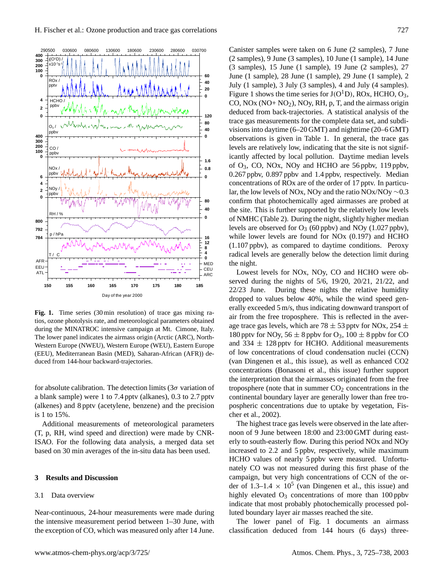

**Fig. 1.** Time series (30 min resolution) of trace gas mixing ratios, ozone photolysis rate, and meteorological parameters obtained during the MINATROC intensive campaign at Mt. Cimone, Italy. The lower panel indicates the airmass origin (Arctic (ARC), North-Western Europe (NWEU), Western Europe (WEU), Eastern Europe (EEU), Mediterranean Basin (MED), Saharan-African (AFR)) deduced from 144-hour backward-trajectories.

for absolute calibration. The detection limits ( $3\sigma$  variation of a blank sample) were 1 to 7.4 pptv (alkanes), 0.3 to 2.7 pptv (alkenes) and 8 pptv (acetylene, benzene) and the precision is 1 to 15%.

Additional measurements of meteorological parameters (T, p, RH, wind speed and direction) were made by CNR-ISAO. For the following data analysis, a merged data set based on 30 min averages of the in-situ data has been used.

# **3 Results and Discussion**

#### 3.1 Data overview

Near-continuous, 24-hour measurements were made during the intensive measurement period between 1–30 June, with the exception of CO, which was measured only after 14 June. Canister samples were taken on 6 June (2 samples), 7 June (2 samples), 9 June (3 samples), 10 June (1 sample), 14 June (3 samples), 15 June (1 sample), 19 June (2 samples), 27 June (1 sample), 28 June (1 sample), 29 June (1 sample), 2 July (1 sample), 3 July (3 samples), 4 and July (4 samples). Figure 1 shows the time series for  $J(O<sup>1</sup>D)$ , ROx, HCHO, O<sub>3</sub>, CO,  $NOx (NO+ NO<sub>2</sub>), NOy, RH, p, T, and the airmass origin$ deduced from back-trajectories. A statistical analysis of the trace gas measurements for the complete data set, and subdivisions into daytime (6–20 GMT) and nighttime (20–6 GMT) observations is given in Table 1. In general, the trace gas levels are relatively low, indicating that the site is not significantly affected by local pollution. Daytime median levels of  $O_3$ , CO, NOx, NOy and HCHO are 56 ppby, 119 ppby, 0.267 ppbv, 0.897 ppbv and 1.4 ppbv, respectively. Median concentrations of ROx are of the order of 17 pptv. In particular, the low levels of NOx, NOy and the ratio NOx/NOy ∼0.3 confirm that photochemically aged airmasses are probed at the site. This is further supported by the relatively low levels of NMHC (Table 2). During the night, slightly higher median levels are observed for  $O_3$  (60 ppbv) and NO<sub>y</sub> (1.027 ppbv), while lower levels are found for NOx (0.197) and HCHO (1.107 ppbv), as compared to daytime conditions. Peroxy radical levels are generally below the detection limit during the night.

Lowest levels for NOx, NOy, CO and HCHO were observed during the nights of 5/6, 19/20, 20/21, 21/22, and 22/23 June. During these nights the relative humidity dropped to values below 40%, while the wind speed generally exceeded 5 m/s, thus indicating downward transport of air from the free troposphere. This is reflected in the average trace gas levels, which are 78  $\pm$  53 pptv for NOx, 254  $\pm$ 180 pptv for NOy,  $56 \pm 8$  ppbv for O<sub>3</sub>,  $100 \pm 8$  ppbv for CO and  $334 \pm 128$  pptv for HCHO. Additional measurements of low concentrations of cloud condensation nuclei (CCN) (van Dingenen et al., this issue), as well as enhanced CO2 concentrations (Bonasoni et al., this issue) further support the interpretation that the airmasses originated from the free troposphere (note that in summer  $CO<sub>2</sub>$  concentrations in the continental boundary layer are generally lower than free tropospheric concentrations due to uptake by vegetation, Fischer et al., 2002).

The highest trace gas levels were observed in the late afternoon of 9 June between 18:00 and 23:00 GMT during easterly to south-easterly flow. During this period NOx and NOy increased to 2.2 and 5 ppbv, respectively, while maximum HCHO values of nearly 5 ppbv were measured. Unfortunately CO was not measured during this first phase of the campaign, but very high concentrations of CCN of the order of  $1.3-1.4 \times 10^5$  (van Dingenen et al., this issue) and highly elevated  $O_3$  concentrations of more than 100 ppbv indicate that most probably photochemically processed polluted boundary layer air masses reached the site.

The lower panel of Fig. 1 documents an airmass classification deduced from 144 hours (6 days) three-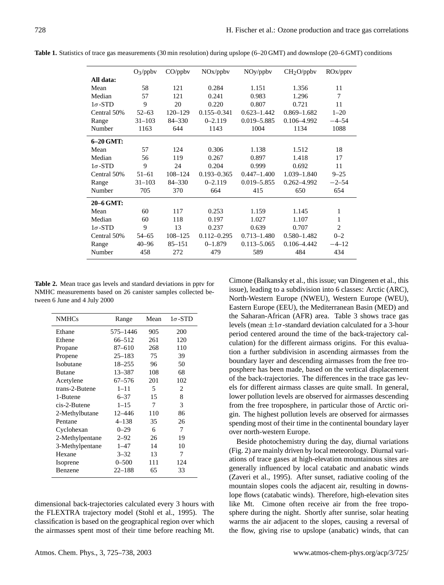|                | $O_3$ /ppbv | CO/ppbv     | NO <sub>x</sub> /ppbv | NOy <sub>p</sub> | CH <sub>2</sub> O <sub>/ppbv</sub> | ROx <sub>ptv</sub> |
|----------------|-------------|-------------|-----------------------|------------------|------------------------------------|--------------------|
| All data:      |             |             |                       |                  |                                    |                    |
| Mean           | 58          | 121         | 0.284                 | 1.151            | 1.356                              | 11                 |
| Median         | 57          | 121         | 0.241                 | 0.983            | 1.296                              | $\tau$             |
| $1\sigma$ -STD | 9           | 20          | 0.220                 | 0.807            | 0.721                              | 11                 |
| Central 50%    | $52 - 63$   | $120 - 129$ | $0.155 - 0.341$       | $0.623 - 1.442$  | $0.869 - 1.682$                    | $1 - 20$           |
| Range          | $31 - 103$  | $84 - 330$  | $0 - 2.119$           | $0.019 - 5.885$  | $0.106 - 4.992$                    | $-4 - 54$          |
| Number         | 1163        | 644         | 1143                  | 1004             | 1134                               | 1088               |
| 6-20 GMT:      |             |             |                       |                  |                                    |                    |
| Mean           | 57          | 124         | 0.306                 | 1.138            | 1.512                              | 18                 |
| Median         | 56          | 119         | 0.267                 | 0.897            | 1.418                              | 17                 |
| $1\sigma$ -STD | 9           | 24          | 0.204                 | 0.999            | 0.692                              | 11                 |
| Central 50%    | $51 - 61$   | $108 - 124$ | $0.193 - 0.365$       | $0.447 - 1.400$  | 1.039-1.840                        | $9 - 25$           |
| Range          | $31 - 103$  | 84-330      | $0 - 2.119$           | $0.019 - 5.855$  | $0.262 - 4.992$                    | $-2 - 54$          |
| Number         | 705         | 370         | 664                   | 415              | 650                                | 654                |
| 20-6 GMT:      |             |             |                       |                  |                                    |                    |
| Mean           | 60          | 117         | 0.253                 | 1.159            | 1.145                              | 1                  |
| Median         | 60          | 118         | 0.197                 | 1.027            | 1.107                              | 1                  |
| $1\sigma$ -STD | 9           | 13          | 0.237                 | 0.639            | 0.707                              | $\overline{c}$     |
| Central 50%    | $54 - 65$   | $108 - 125$ | $0.112 - 0.295$       | $0.713 - 1.480$  | $0.580 - 1.482$                    | $0 - 2$            |
| Range          | $40 - 96$   | $85 - 151$  | $0 - 1.879$           | $0.113 - 5.065$  | $0.106 - 4.442$                    | $-4-12$            |
| Number         | 458         | 272         | 479                   | 589              | 484                                | 434                |

**Table 1.** Statistics of trace gas measurements (30 min resolution) during upslope (6–20 GMT) and downslope (20–6 GMT) conditions

**Table 2.** Mean trace gas levels and standard deviations in pptv for NMHC measurements based on 26 canister samples collected between 6 June and 4 July 2000

| <b>NMHCs</b>    | Range             | Mean | $1\sigma$ -STD |  |
|-----------------|-------------------|------|----------------|--|
| Ethane          | 575–1446          | 905  | 200            |  |
| Ethene          | 66–512            | 261  | 120            |  |
| Propane         | 87-610            | 268  | 110            |  |
| Propene         | $25 - 183$        | 75   | 39             |  |
| Isobutane       | $18 - 255$        | 96   | 50             |  |
| <b>Butane</b>   | 13–387            | 108  | 68             |  |
| Acetylene       | $67 - 576$        | 201  | 102            |  |
| trans-2-Butene  | $1 - 11$          | 5    | 2              |  |
| 1-Butene        | $6 - 37$          | 15   | 8              |  |
| cis-2-Butene    | $1 - 15$<br>7     |      | 3              |  |
| 2-Methylbutane  | $12 - 446$<br>110 |      | 86             |  |
| Pentane         | $4 - 138$         | 35   | 26             |  |
| Cyclohexan      | $0 - 29$          | 6    | 7              |  |
| 2-Methylpentane | $2 - 92$          | 26   | 19             |  |
| 3-Methylpentane | $1 - 47$          | 14   | 10             |  |
| Hexane          | $3 - 32$          | 13   | 7              |  |
| Isoprene        | $0 - 500$         | 111  |                |  |
| Benzene         | $22 - 188$        | 65   | 33             |  |

dimensional back-trajectories calculated every 3 hours with the FLEXTRA trajectory model (Stohl et al., 1995). The classification is based on the geographical region over which the airmasses spent most of their time before reaching Mt.

Cimone (Balkansky et al., this issue; van Dingenen et al., this issue), leading to a subdivision into 6 classes: Arctic (ARC), North-Western Europe (NWEU), Western Europe (WEU), Eastern Europe (EEU), the Mediterranean Basin (MED) and the Saharan-African (AFR) area. Table 3 shows trace gas levels (mean  $\pm 1\sigma$ -standard deviation calculated for a 3-hour period centered around the time of the back-trajectory calculation) for the different airmass origins. For this evaluation a further subdivision in ascending airmasses from the boundary layer and descending airmasses from the free troposphere has been made, based on the vertical displacement of the back-trajectories. The differences in the trace gas levels for different airmass classes are quite small. In general, lower pollution levels are observed for airmasses descending from the free troposphere, in particular those of Arctic origin. The highest pollution levels are observed for airmasses spending most of their time in the continental boundary layer over north-western Europe.

Beside photochemistry during the day, diurnal variations (Fig. 2) are mainly driven by local meteorology. Diurnal variations of trace gases at high-elevation mountainous sites are generally influenced by local catabatic and anabatic winds (Zaveri et al., 1995). After sunset, radiative cooling of the mountain slopes cools the adjacent air, resulting in downslope flows (catabatic winds). Therefore, high-elevation sites like Mt. Cimone often receive air from the free troposphere during the night. Shortly after sunrise, solar heating warms the air adjacent to the slopes, causing a reversal of the flow, giving rise to upslope (anabatic) winds, that can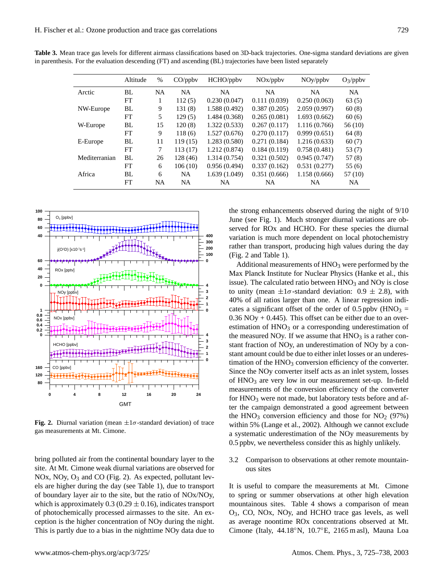|               | Altitude | $\%$      | CO <sub>/ppbv</sub> | HCHO/ppbv     | $NOx$ /ppbv  | $NOy$ /ppby   | $O_3$ /ppbv |
|---------------|----------|-----------|---------------------|---------------|--------------|---------------|-------------|
| Arctic        | BL       | <b>NA</b> | <b>NA</b>           | NA            | <b>NA</b>    | <b>NA</b>     | <b>NA</b>   |
|               | FT       |           | 112(5)              | 0.230(0.047)  | 0.111(0.039) | 0.250(0.063)  | 63(5)       |
| NW-Europe     | BL       | 9         | 131(8)              | 1.588 (0.492) | 0.387(0.205) | 2.059(0.997)  | 60(8)       |
|               | FT       | 5         | 129(5)              | 1.484 (0.368) | 0.265(0.081) | 1.693(0.662)  | 60(6)       |
| W-Europe      | BL.      | 15        | 120(8)              | 1.322(0.533)  | 0.267(0.117) | 1.116(0.766)  | 56 (10)     |
|               | FT       | 9         | 118(6)              | 1.527(0.676)  | 0.270(0.117) | 0.999(0.651)  | 64(8)       |
| E-Europe      | BL       | 11        | 119(15)             | 1.283(0.580)  | 0.271(0.184) | 1.216(0.633)  | 60(7)       |
|               | FT       | 7         | 113(17)             | 1.212(0.874)  | 0.184(0.119) | 0.758(0.481)  | 53 (7)      |
| Mediterranian | BL       | 26        | 128 (46)            | 1.314(0.754)  | 0.321(0.502) | 0.945(0.747)  | 57(8)       |
|               | FT       | 6         | 106(10)             | 0.956(0.494)  | 0.337(0.162) | 0.531(0.277)  | 55(6)       |
| Africa        | BL       | 6         | <b>NA</b>           | 1.639(1.049)  | 0.351(0.666) | 1.158 (0.666) | 57 (10)     |
|               | FT       | <b>NA</b> | <b>NA</b>           | <b>NA</b>     | <b>NA</b>    | <b>NA</b>     | NA.         |

**Table 3.** Mean trace gas levels for different airmass classifications based on 3D-back trajectories. One-sigma standard deviations are given in parenthesis. For the evaluation descending (FT) and ascending (BL) trajectories have been listed separately



**Fig. 2.** Diurnal variation (mean  $\pm 1\sigma$ -standard deviation) of trace gas measurements at Mt. Cimone.

bring polluted air from the continental boundary layer to the site. At Mt. Cimone weak diurnal variations are observed for NOx, NOy,  $O_3$  and CO (Fig. 2). As expected, pollutant levels are higher during the day (see Table 1), due to transport of boundary layer air to the site, but the ratio of NOx/NOy, which is approximately  $0.3 (0.29 \pm 0.16)$ , indicates transport of photochemically processed airmasses to the site. An exception is the higher concentration of NOy during the night. This is partly due to a bias in the nighttime NOy data due to the strong enhancements observed during the night of 9/10 June (see Fig. 1). Much stronger diurnal variations are observed for ROx and HCHO. For these species the diurnal variation is much more dependent on local photochemistry rather than transport, producing high values during the day (Fig. 2 and Table 1).

Additional measurements of  $HNO<sub>3</sub>$  were performed by the Max Planck Institute for Nuclear Physics (Hanke et al., this issue). The calculated ratio between  $HNO<sub>3</sub>$  and  $NO<sub>V</sub>$  is close to unity (mean  $\pm 1\sigma$ -standard deviation: 0.9  $\pm$  2.8), with 40% of all ratios larger than one. A linear regression indicates a significant offset of the order of  $0.5$  ppbv (HNO<sub>3</sub> =  $0.36$  NOy  $+ 0.445$ ). This offset can be either due to an overestimation of  $HNO<sub>3</sub>$  or a corresponding underestimation of the measured NOy. If we assume that  $HNO<sub>3</sub>$  is a rather constant fraction of NOy, an underestimation of NOy by a constant amount could be due to either inlet losses or an underestimation of the  $HNO<sub>3</sub>$  conversion efficiency of the converter. Since the NOy converter itself acts as an inlet system, losses of  $HNO<sub>3</sub>$  are very low in our measurement set-up. In-field measurements of the conversion efficiency of the converter for HNO<sub>3</sub> were not made, but laboratory tests before and after the campaign demonstrated a good agreement between the HNO<sub>3</sub> conversion efficiency and those for  $NO<sub>2</sub>$  (97%) within 5% (Lange et al., 2002). Although we cannot exclude a systematic underestimation of the NOy measurements by 0.5 ppbv, we nevertheless consider this as highly unlikely.

3.2 Comparison to observations at other remote mountainous sites

It is useful to compare the measurements at Mt. Cimone to spring or summer observations at other high elevation mountainous sites. Table 4 shows a comparison of mean O3, CO, NOx, NOy, and HCHO trace gas levels, as well as average noontime ROx concentrations observed at Mt. Cimone (Italy, 44.18◦N, 10.7◦E, 2165 m asl), Mauna Loa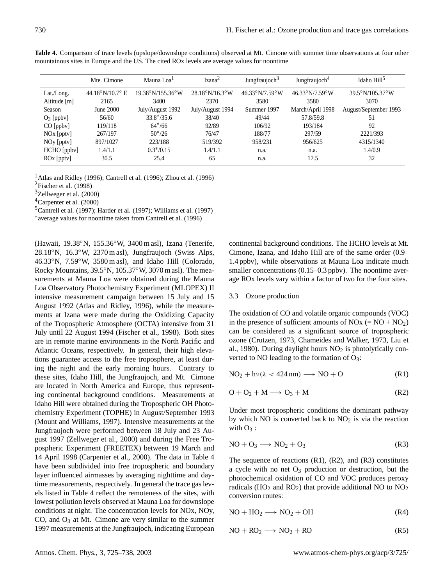|                            | Mte. Cimone             | Mauna Loa <sup>1</sup>             | Izana <sup>2</sup>               | Jungfraujoch <sup>3</sup>              | Jungfraujoch <sup>4</sup>              | Idaho Hill <sup>5</sup> |
|----------------------------|-------------------------|------------------------------------|----------------------------------|----------------------------------------|----------------------------------------|-------------------------|
| Lat./Long.<br>Altitude [m] | 44.18°N/10.7° E<br>2165 | $19.38^{\circ}$ N/155.36°W<br>3400 | $28.18^{\circ}$ N/16.3°W<br>2370 | $46.33^{\circ}N/7.59^{\circ}W$<br>3580 | $46.33^{\circ}N/7.59^{\circ}W$<br>3580 | 39.5°N/105.37°W<br>3070 |
| Season                     | June 2000               | July/August 1992                   | July/August 1994                 | Summer 1997                            | March/April 1998                       | August/September 1993   |
| $O_3$ [ppbv]               | 56/60                   | $33.8*/35.6$                       | 38/40                            | 49/44                                  | 57.8/59.8                              | 51                      |
| $CO$ [ppbv]                | 119/118                 | $64*/66$                           | 92/89                            | 106/92                                 | 193/184                                | 92                      |
| $NOx$ [pptv]               | 267/197                 | $50*/26$                           | 76/47                            | 188/77                                 | 297/59                                 | 2221/393                |
| NO <sub>y</sub> [ppty]     | 897/1027                | 223/188                            | 519/392                          | 958/231                                | 956/625                                | 4315/1340               |
| HCHO [ppbv]                | 1.4/1.1                 | $0.3*/0.15$                        | 1.4/1.1                          | n.a.                                   | n.a.                                   | 1.4/0.9                 |
| $ROx$ [pptv]               | 30.5                    | 25.4                               | 65                               | n.a.                                   | 17.5                                   | 32                      |

**Table 4.** Comparison of trace levels (upslope/downslope conditions) observed at Mt. Cimone with summer time observations at four other mountainous sites in Europe and the US. The cited ROx levels are average values for noontime

<sup>1</sup> Atlas and Ridley (1996); Cantrell et al. (1996); Zhou et al. (1996)

<sup>2</sup>Fischer et al. (1998)

<sup>3</sup>Zellweger et al. (2000)

<sup>4</sup>Carpenter et al. (2000)

<sup>5</sup>Cantrell et al. (1997); Harder et al. (1997); Williams et al. (1997)

∗ average values for noontime taken from Cantrell et al. (1996)

(Hawaii, 19.38◦N, 155.36◦W, 3400 m asl), Izana (Tenerife, 28.18◦N, 16.3◦W, 2370 m asl), Jungfraujoch (Swiss Alps, 46.33◦N, 7.59◦W, 3580 m asl), and Idaho Hill (Colorado, Rocky Mountains, 39.5◦N, 105.37◦W, 3070 m asl). The measurements at Mauna Loa were obtained during the Mauna Loa Observatory Photochemistry Experiment (MLOPEX) II intensive measurement campaign between 15 July and 15 August 1992 (Atlas and Ridley, 1996), while the measurements at Izana were made during the Oxidizing Capacity of the Tropospheric Atmosphere (OCTA) intensive from 31 July until 22 August 1994 (Fischer et al., 1998). Both sites are in remote marine environments in the North Pacific and Atlantic Oceans, respectively. In general, their high elevations guarantee access to the free troposphere, at least during the night and the early morning hours. Contrary to these sites, Idaho Hill, the Jungfraujoch, and Mt. Cimone are located in North America and Europe, thus representing continental background conditions. Measurements at Idaho Hill were obtained during the Tropospheric OH Photochemistry Experiment (TOPHE) in August/September 1993 (Mount and Williams, 1997). Intensive measurements at the Jungfraujoch were performed between 18 July and 23 August 1997 (Zellweger et al., 2000) and during the Free Tropospheric Experiment (FREETEX) between 19 March and 14 April 1998 (Carpenter et al., 2000). The data in Table 4 have been subdivided into free tropospheric and boundary layer influenced airmasses by averaging nighttime and daytime measurements, respectively. In general the trace gas levels listed in Table 4 reflect the remoteness of the sites, with lowest pollution levels observed at Mauna Loa for downslope conditions at night. The concentration levels for NOx, NOy,  $CO$ , and  $O<sub>3</sub>$  at Mt. Cimone are very similar to the summer 1997 measurements at the Jungfraujoch, indicating European continental background conditions. The HCHO levels at Mt. Cimone, Izana, and Idaho Hill are of the same order (0.9– 1.4 ppbv), while observations at Mauna Loa indicate much smaller concentrations (0.15–0.3 ppbv). The noontime average ROx levels vary within a factor of two for the four sites.

#### 3.3 Ozone production

The oxidation of CO and volatile organic compounds (VOC) in the presence of sufficient amounts of  $NOx (= NO + NO<sub>2</sub>)$ can be considered as a significant source of tropospheric ozone (Crutzen, 1973, Chameides and Walker, 1973, Liu et al., 1980). During daylight hours  $NO<sub>2</sub>$  is photolytically converted to NO leading to the formation of  $O_3$ :

$$
NO2 + h\nu(\lambda < 424 \text{ nm}) \longrightarrow NO + O \tag{R1}
$$

$$
O + O_2 + M \longrightarrow O_3 + M \tag{R2}
$$

Under most tropospheric conditions the dominant pathway by which NO is converted back to  $NO<sub>2</sub>$  is via the reaction with  $O_3$ :

$$
NO + O_3 \longrightarrow NO_2 + O_3 \tag{R3}
$$

The sequence of reactions  $(R1)$ ,  $(R2)$ , and  $(R3)$  constitutes a cycle with no net  $O_3$  production or destruction, but the photochemical oxidation of CO and VOC produces peroxy radicals ( $HO_2$  and  $RO_2$ ) that provide additional NO to  $NO_2$ conversion routes:

$$
NO + HO2 \longrightarrow NO2 + OH
$$
 (R4)

$$
NO + RO_2 \longrightarrow NO_2 + RO
$$
 (R5)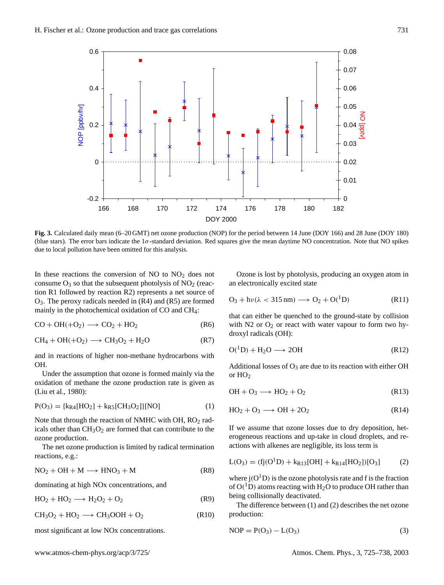

**Fig. 3.** Calculated daily mean (6–20 GMT) net ozone production (NOP) for the period between 14 June (DOY 166) and 28 June (DOY 180) (blue stars). The error bars indicate the  $1\sigma$ -standard deviation. Red squares give the mean daytime NO concentration. Note that NO spikes due to local pollution have been omitted for this analysis.

In these reactions the conversion of  $NO$  to  $NO<sub>2</sub>$  does not consume  $O_3$  so that the subsequent photolysis of  $NO_2$  (reaction R1 followed by reaction R2) represents a net source of O3. The peroxy radicals needed in (R4) and (R5) are formed mainly in the photochemical oxidation of CO and CH4:

$$
CO + OH(+O2) \longrightarrow CO2 + HO2
$$
 (R6)

$$
CH_4 + OH(+O_2) \longrightarrow CH_3O_2 + H_2O \tag{R7}
$$

and in reactions of higher non-methane hydrocarbons with OH.

Under the assumption that ozone is formed mainly via the oxidation of methane the ozone production rate is given as (Liu et al., 1980):

$$
P(O_3) = {k_{R4}[HO_2] + k_{R5}[CH_3O_2]}[NO]
$$
 (1)

Note that through the reaction of NMHC with OH, RO<sub>2</sub> radicals other than  $CH<sub>3</sub>O<sub>2</sub>$  are formed that can contribute to the ozone production.

The net ozone production is limited by radical termination reactions, e.g.:

$$
NO2 + OH + M \longrightarrow HNO3 + M
$$
 (R8)

dominating at high NOx concentrations, and

$$
HO_2 + HO_2 \longrightarrow H_2O_2 + O_2 \tag{R9}
$$

$$
CH3O2 + HO2 \longrightarrow CH3OOH + O2
$$
 (R10)

most significant at low NOx concentrations.

Ozone is lost by photolysis, producing an oxygen atom in an electronically excited state

$$
O_3 + h\nu(\lambda < 315 \,\text{nm}) \longrightarrow O_2 + O(^1D) \tag{R11}
$$

that can either be quenched to the ground-state by collision with  $N2$  or  $O<sub>2</sub>$  or react with water vapour to form two hydroxyl radicals (OH):

$$
O(^{1}D) + H_{2}O \longrightarrow 2OH \tag{R12}
$$

Additional losses of  $O_3$  are due to its reaction with either OH or HO<sup>2</sup>

$$
OH + O_3 \longrightarrow HO_2 + O_2 \tag{R13}
$$

$$
HO_2 + O_3 \longrightarrow OH + 2O_2 \tag{R14}
$$

If we assume that ozone losses due to dry deposition, heterogeneous reactions and up-take in cloud droplets, and reactions with alkenes are negligible, its loss term is

$$
L(O_3) = (fj(O1D) + kR13[OH] + kR14[HO2])[O3] (2)
$$

where  $j(O<sup>1</sup>D)$  is the ozone photolysis rate and f is the fraction of  $O(^1D)$  atoms reacting with H<sub>2</sub>O to produce OH rather than being collisionally deactivated.

The difference between (1) and (2) describes the net ozone production:

$$
NOP = P(O_3) - L(O_3)
$$
 (3)

www.atmos-chem-phys.org/acp/3/725/ Atmos. Chem. Phys., 3, 725–738, 2003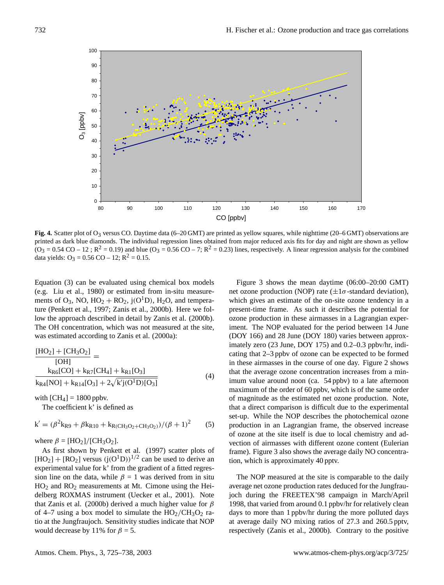

**Fig. 4.** Scatter plot of O<sub>3</sub> versus CO. Daytime data (6–20 GMT) are printed as yellow squares, while nighttime (20–6 GMT) observations are printed as dark blue diamonds. The individual regression lines obtained from major reduced axis fits for day and night are shown as yellow  $(O_3 = 0.54 \text{ CO} - 12$ ;  $R^2 = 0.19$ ) and blue  $(O_3 = 0.56 \text{ CO} - 7$ ;  $R^2 = 0.23$ ) lines, respectively. A linear regression analysis for the combined data yields:  $O_3 = 0.56 \text{ CO} - 12$ ;  $R^2 = 0.15$ .

Equation (3) can be evaluated using chemical box models (e.g. Liu et al., 1980) or estimated from in-situ measurements of  $O_3$ , NO,  $HO_2 + RO_2$ ,  $j(O^1D)$ ,  $H_2O$ , and temperature (Penkett et al., 1997; Zanis et al., 2000b). Here we follow the approach described in detail by Zanis et al. (2000b). The OH concentration, which was not measured at the site, was estimated according to Zanis et al. (2000a):

$$
\frac{[HO_2] + [CH_3O_2]}{[OH]}
$$
  
\n
$$
\frac{k_{R6}[CO] + k_{R7}[CH_4] + k_{R1}[O_3]}{k_{R4}[NO] + k_{R14}[O_3] + 2\sqrt{k'j(O^1D)[O_3]}}
$$
(4)

with  $[CH_4] = 1800$  ppbv.

The coefficient k' is defined as

$$
k' = (\beta^{2}k_{R9} + \beta k_{R10} + k_{R(CH_3O_2 + CH_3O_2)})/(\beta + 1)^{2}
$$
 (5)

where  $\beta = [HO_2]/[CH_3O_2]$ .

As first shown by Penkett et al. (1997) scatter plots of  $[HO_2] + [RO_2]$  versus  $(j(O^1D))^{1/2}$  can be used to derive an experimental value for k' from the gradient of a fitted regression line on the data, while  $\beta = 1$  was derived from in situ HO<sup>2</sup> and RO<sup>2</sup> measurements at Mt. Cimone using the Heidelberg ROXMAS instrument (Uecker et al., 2001). Note that Zanis et al. (2000b) derived a much higher value for  $\beta$ of 4–7 using a box model to simulate the  $HO_2/CH_3O_2$  ratio at the Jungfraujoch. Sensitivity studies indicate that NOP would decrease by 11% for  $\beta = 5$ .

Figure 3 shows the mean daytime (06:00–20:00 GMT) net ozone production (NOP) rate  $(\pm 1\sigma$ -standard deviation), which gives an estimate of the on-site ozone tendency in a present-time frame. As such it describes the potential for ozone production in these airmasses in a Lagrangian experiment. The NOP evaluated for the period between 14 June (DOY 166) and 28 June (DOY 180) varies between approximately zero (23 June, DOY 175) and 0.2–0.3 ppbv/hr, indicating that 2–3 ppbv of ozone can be expected to be formed in these airmasses in the course of one day. Figure 2 shows that the average ozone concentration increases from a minimum value around noon (ca. 54 ppbv) to a late afternoon maximum of the order of 60 ppbv, which is of the same order of magnitude as the estimated net ozone production. Note, that a direct comparison is difficult due to the experimental set-up. While the NOP describes the photochemical ozone production in an Lagrangian frame, the observed increase of ozone at the site itself is due to local chemistry and advection of airmasses with different ozone content (Eulerian frame). Figure 3 also shows the average daily NO concentration, which is approximately 40 pptv.

The NOP measured at the site is comparable to the daily average net ozone production rates deduced for the Jungfraujoch during the FREETEX'98 campaign in March/April 1998, that varied from around 0.1 ppbv/hr for relatively clean days to more than 1 ppbv/hr during the more polluted days at average daily NO mixing ratios of 27.3 and 260.5 pptv, respectively (Zanis et al., 2000b). Contrary to the positive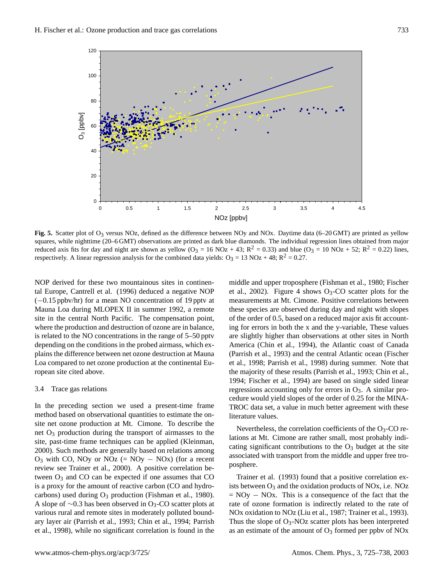

**Fig. 5.** Scatter plot of O<sub>3</sub> versus NOz, defined as the difference between NOy and NOx. Daytime data (6–20 GMT) are printed as yellow squares, while nighttime (20–6 GMT) observations are printed as dark blue diamonds. The individual regression lines obtained from major reduced axis fits for day and night are shown as yellow  $(O_3 = 16 \text{ NOz} + 43; R^2 = 0.33)$  and blue  $(O_3 = 10 \text{ NOz} + 52; R^2 = 0.22)$  lines, respectively. A linear regression analysis for the combined data yields:  $O_3 = 13 \text{ NOz} + 48$ ;  $R^2 = 0.27$ .

NOP derived for these two mountainous sites in continental Europe, Cantrell et al. (1996) deduced a negative NOP (−0.15 ppbv/hr) for a mean NO concentration of 19 pptv at Mauna Loa during MLOPEX II in summer 1992, a remote site in the central North Pacific. The compensation point, where the production and destruction of ozone are in balance, is related to the NO concentrations in the range of 5–50 pptv depending on the conditions in the probed airmass, which explains the difference between net ozone destruction at Mauna Loa compared to net ozone production at the continental European site cited above.

# 3.4 Trace gas relations

In the preceding section we used a present-time frame method based on observational quantities to estimate the onsite net ozone production at Mt. Cimone. To describe the net  $O_3$  production during the transport of airmasses to the site, past-time frame techniques can be applied (Kleinman, 2000). Such methods are generally based on relations among  $O_3$  with CO, NOy or NOz (= NOy – NOx) (for a recent review see Trainer et al., 2000). A positive correlation between  $O_3$  and CO can be expected if one assumes that CO is a proxy for the amount of reactive carbon (CO and hydrocarbons) used during  $O_3$  production (Fishman et al., 1980). A slope of ∼0.3 has been observed in O3-CO scatter plots at various rural and remote sites in moderately polluted boundary layer air (Parrish et al., 1993; Chin et al., 1994; Parrish et al., 1998), while no significant correlation is found in the middle and upper troposphere (Fishman et al., 1980; Fischer et al., 2002). Figure 4 shows  $O_3$ -CO scatter plots for the measurements at Mt. Cimone. Positive correlations between these species are observed during day and night with slopes of the order of 0.5, based on a reduced major axis fit accounting for errors in both the x and the y-variable, These values are slightly higher than observations at other sites in North America (Chin et al., 1994), the Atlantic coast of Canada (Parrish et al., 1993) and the central Atlantic ocean (Fischer et al., 1998; Parrish et al., 1998) during summer. Note that the majority of these results (Parrish et al., 1993; Chin et al., 1994; Fischer et al., 1994) are based on single sided linear regressions accounting only for errors in  $O_3$ . A similar procedure would yield slopes of the order of 0.25 for the MINA-TROC data set, a value in much better agreement with these literature values.

Nevertheless, the correlation coefficients of the  $O_3$ -CO relations at Mt. Cimone are rather small, most probably indicating significant contributions to the  $O_3$  budget at the site associated with transport from the middle and upper free troposphere.

Trainer et al. (1993) found that a positive correlation exists between  $O_3$  and the oxidation products of NOx, i.e. NOz  $= NOy - NOx$ . This is a consequence of the fact that the rate of ozone formation is indirectly related to the rate of NOx oxidation to NOz (Liu et al., 1987; Trainer et al., 1993). Thus the slope of  $O_3$ -NOz scatter plots has been interpreted as an estimate of the amount of  $O_3$  formed per ppbv of NOx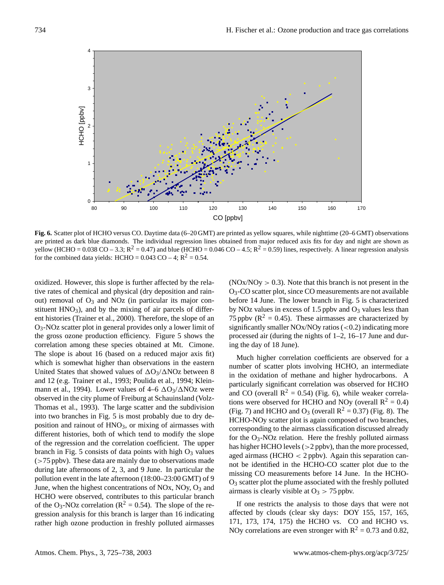

**Fig. 6.** Scatter plot of HCHO versus CO. Daytime data (6–20 GMT) are printed as yellow squares, while nighttime (20–6 GMT) observations are printed as dark blue diamonds. The individual regression lines obtained from major reduced axis fits for day and night are shown as yellow (HCHO =  $0.038$  CO – 3.3; R<sup>2</sup> = 0.47) and blue (HCHO =  $0.046$  CO – 4.5; R<sup>2</sup> = 0.59) lines, respectively. A linear regression analysis for the combined data yields: HCHO =  $0.043$  CO – 4; R<sup>2</sup> = 0.54.

oxidized. However, this slope is further affected by the relative rates of chemical and physical (dry deposition and rainout) removal of  $O_3$  and NOz (in particular its major constituent  $HNO<sub>3</sub>$ ), and by the mixing of air parcels of different histories (Trainer et al., 2000). Therefore, the slope of an O3-NOz scatter plot in general provides only a lower limit of the gross ozone production efficiency. Figure 5 shows the correlation among these species obtained at Mt. Cimone. The slope is about 16 (based on a reduced major axis fit) which is somewhat higher than observations in the eastern United States that showed values of  $\Delta O_3/\Delta NOz$  between 8 and 12 (e.g. Trainer et al., 1993; Poulida et al., 1994; Kleinmann et al., 1994). Lower values of  $4-6$   $\Delta O_3/\Delta NOz$  were observed in the city plume of Freiburg at Schauinsland (Volz-Thomas et al., 1993). The large scatter and the subdivision into two branches in Fig. 5 is most probably due to dry deposition and rainout of  $HNO<sub>3</sub>$ , or mixing of airmasses with different histories, both of which tend to modify the slope of the regression and the correlation coefficient. The upper branch in Fig. 5 consists of data points with high  $O_3$  values  $($ >75 ppbv). These data are mainly due to observations made during late afternoons of 2, 3, and 9 June. In particular the pollution event in the late afternoon (18:00–23:00 GMT) of 9 June, when the highest concentrations of NOx, NOy,  $O_3$  and HCHO were observed, contributes to this particular branch of the O<sub>3</sub>-NOz correlation ( $R^2 = 0.54$ ). The slope of the regression analysis for this branch is larger than 16 indicating rather high ozone production in freshly polluted airmasses  $(NOx/NOy > 0.3)$ . Note that this branch is not present in the O3-CO scatter plot, since CO measurements are not available before 14 June. The lower branch in Fig. 5 is characterized by NOz values in excess of 1.5 ppbv and  $O_3$  values less than 75 ppbv ( $R^2 = 0.45$ ). These airmasses are characterized by significantly smaller  $NOx/NOy$  ratios  $( $0.2$ ) indicating more$ processed air (during the nights of 1–2, 16–17 June and during the day of 18 June).

Much higher correlation coefficients are observed for a number of scatter plots involving HCHO, an intermediate in the oxidation of methane and higher hydrocarbons. A particularly significant correlation was observed for HCHO and CO (overall  $R^2 = 0.54$ ) (Fig. 6), while weaker correlations were observed for HCHO and NOy (overall  $R^2 = 0.4$ ) (Fig. 7) and HCHO and  $O_3$  (overall  $R^2 = 0.37$ ) (Fig. 8). The HCHO-NOy scatter plot is again composed of two branches, corresponding to the airmass classification discussed already for the  $O_3$ -NOz relation. Here the freshly polluted airmass has higher HCHO levels (>2 ppbv), than the more processed, aged airmass (HCHO  $<$  2 ppbv). Again this separation cannot be identified in the HCHO-CO scatter plot due to the missing CO measurements before 14 June. In the HCHO-O<sup>3</sup> scatter plot the plume associated with the freshly polluted airmass is clearly visible at  $O_3 > 75$  ppbv.

If one restricts the analysis to those days that were not affected by clouds (clear sky days: DOY 155, 157, 165, 171, 173, 174, 175) the HCHO vs. CO and HCHO vs. NOy correlations are even stronger with  $R^2 = 0.73$  and 0.82,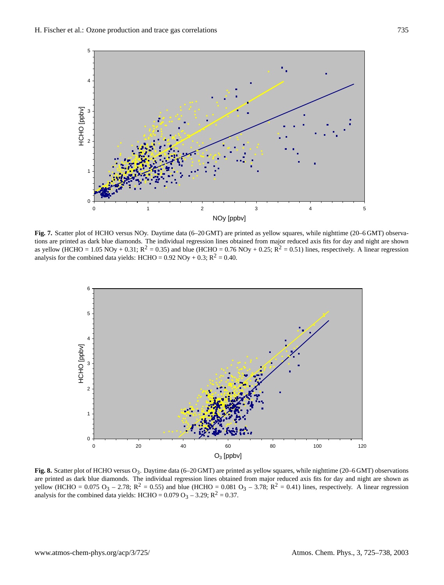

**Fig. 7.** Scatter plot of HCHO versus NOy. Daytime data (6–20 GMT) are printed as yellow squares, while nighttime (20–6 GMT) observations are printed as dark blue diamonds. The individual regression lines obtained from major reduced axis fits for day and night are shown as yellow (HCHO = 1.05 NOy + 0.31;  $R^2 = 0.35$ ) and blue (HCHO = 0.76 NOy + 0.25;  $R^2 = 0.51$ ) lines, respectively. A linear regression analysis for the combined data yields: HCHO =  $0.92$  NOy +  $0.3$ ; R<sup>2</sup> = 0.40.



**Fig. 8.** Scatter plot of HCHO versus O3. Daytime data (6–20 GMT) are printed as yellow squares, while nighttime (20–6 GMT) observations are printed as dark blue diamonds. The individual regression lines obtained from major reduced axis fits for day and night are shown as yellow (HCHO = 0.075 O<sub>3</sub> – 2.78; R<sup>2</sup> = 0.55) and blue (HCHO = 0.081 O<sub>3</sub> – 3.78; R<sup>2</sup> = 0.41) lines, respectively. A linear regression analysis for the combined data yields: HCHO =  $0.079 \text{ O}_3 - 3.29$ ; R<sup>2</sup> = 0.37.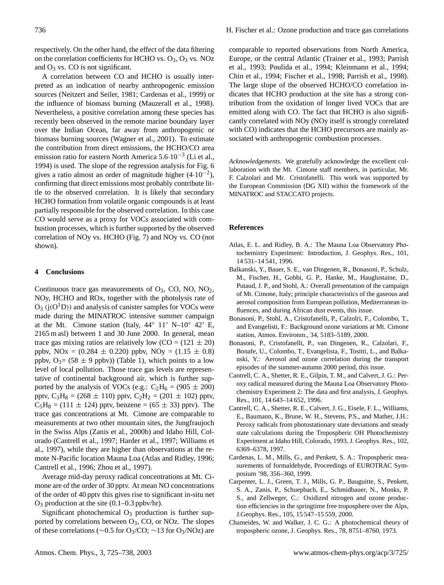respectively. On the other hand, the effect of the data filtering on the correlation coefficients for HCHO vs.  $O_3$ ,  $O_3$  vs. NOz and  $O_3$  vs. CO is not significant.

A correlation between CO and HCHO is usually interpreted as an indication of nearby anthropogenic emission sources (Neitzert and Seiler, 1981; Cardenas et al., 1999) or the influence of biomass burning (Mauzerall et al., 1998). Nevertheless, a positive correlation among these species has recently been observed in the remote marine boundary layer over the Indian Ocean, far away from anthropogenic or biomass burning sources (Wagner et al., 2001). To estimate the contribution from direct emissions, the HCHO/CO area emission ratio for eastern North America 5.6·10−<sup>3</sup> (Li et al., 1994) is used. The slope of the regression analysis for Fig. 6 gives a ratio almost an order of magnitude higher  $(4.10^{-2})$ , confirming that direct emissions most probably contribute little to the observed correlation. It is likely that secondary HCHO formation from volatile organic compounds is at least partially responsible for the observed correlation. In this case CO would serve as a proxy for VOCs associated with combustion processes, which is further supported by the observed correlation of NOy vs. HCHO (Fig. 7) and NOy vs. CO (not shown).

# **4 Conclusions**

Continuous trace gas measurements of  $O_3$ , CO, NO, NO<sub>2</sub>, NOy, HCHO and ROx, together with the photolysis rate of  $O_3$  (j( $O<sup>1</sup>D$ )) and analysis of canister samples for VOCs were made during the MINATROC intensive summer campaign at the Mt. Cimone station (Italy,  $44°$  11' N–10° 42' E, 2165 m asl) between 1 and 30 June 2000. In general, mean trace gas mixing ratios are relatively low  $(CO = (121 \pm 20)$ ppbv, NOx =  $(0.284 \pm 0.220)$  ppbv, NOy =  $(1.15 \pm 0.8)$ ppbv,  $O_3 = (58 \pm 9 \text{ ppbv})$  (Table 1), which points to a low level of local pollution. Those trace gas levels are representative of continental background air, which is further supported by the analysis of VOCs (e.g.:  $C_2H_6 = (905 \pm 200)$ pptv,  $C_3H_8 = (268 \pm 110)$  pptv,  $C_2H_2 = (201 \pm 102)$  pptv,  $C_5H_8 = (111 \pm 124)$  pptv, benzene =  $(65 \pm 33)$  pptv). The trace gas concentrations at Mt. Cimone are comparable to measurements at two other mountain sites, the Jungfraujoch in the Swiss Alps (Zanis et al., 2000b) and Idaho Hill, Colorado (Cantrell et al., 1997; Harder et al., 1997; Williams et al., 1997), while they are higher than observations at the remote N-Pacific location Mauna Loa (Atlas and Ridley, 1996; Cantrell et al., 1996; Zhou et al., 1997).

Average mid-day peroxy radical concentrations at Mt. Cimone are of the order of 30 pptv. At mean NO concentrations of the order of 40 pptv this gives rise to significant in-situ net O<sup>3</sup> production at the site (0.1–0.3 ppbv/hr).

Significant photochemical  $O_3$  production is further supported by correlations between O3, CO, or NOz. The slopes of these correlations (∼0.5 for O3/CO; ∼13 for O3/NOz) are comparable to reported observations from North America, Europe, or the central Atlantic (Trainer et al., 1993; Parrish et al., 1993; Poulida et al., 1994; Kleinmann et al., 1994; Chin et al., 1994; Fischer et al., 1998; Parrish et al., 1998). The large slope of the observed HCHO/CO correlation indicates that HCHO production at the site has a strong contribution from the oxidation of longer lived VOCs that are emitted along with CO. The fact that HCHO is also significantly correlated with NOy (NOy itself is strongly correlated with CO) indicates that the HCHO precursors are mainly associated with anthropogenic combustion processes.

*Acknowledgements.* We gratefully acknowledge the excellent collaboration with the Mt. Cimone staff members, in particular, Mr. F. Calzolari and Mr. Cristofanelli. This work was supported by the European Commission (DG XII) within the framework of the MINATROC and STACCATO projects.

# **References**

- Atlas, E. L. and Ridley, B. A.: The Mauna Loa Observatory Photochemistry Experiment: Introduction, J. Geophys. Res., 101, 14 531–14 541, 1996.
- Balkanski, Y., Bauer, S. E., van Dingenen, R., Bonasoni, P., Schulz, M., Fischer, H., Gobbi, G. P., Hanke, M., Hauglustaine, D., Putaud, J. P., and Stohl, A.: Overall presentation of the campaign of Mt. Cimone, Italy; principle characteristics of the gaseous and aerosol composition from European pollution, Mediterranean influences, and during African dust events, this issue.
- Bonasoni, P., Stohl, A., Cristofanelli, P., Calzolri, F., Colombo, T., and Evangelisti, F.: Background ozone variations at Mt. Cimone station, Atmos. Environm., 34, 5183–5189, 2000.
- Bonasoni, P., Cristofanelli, P., van Dingenen, R., Calzolari, F., Bonafe, U., Colombo, T., Evangelista, F., Tositti, L., and Balkanski, Y.: Aerosol and ozone correlation during the transport episodes of the summer-autumn 2000 period, this issue.
- Cantrell, C. A., Shetter, R. E., Gilpin, T. M., and Calvert, J. G.: Peroxy radical measured during the Mauna Loa Observatory Photochemistry Experiment 2: The data and first analysis, J. Geophys. Res., 101, 14 643–14 652, 1996.
- Cantrell, C. A., Shetter, R. E., Calvert, J. G., Eisele, F. L., Williams, E., Baumann, K., Brune, W. H., Stevens, P.S., and Mather, J.H.: Peroxy radicals from photostationary state deviations and steady state calculations during the Tropospheric OH Photochemistry Experiment at Idaho Hill, Colorado, 1993, J. Geophys. Res., 102, 6369–6378, 1997.
- Cardenas, L. M., Mills, G., and Penkett, S. A.: Tropospheric measurements of formaldehyde, Proceedings of EUROTRAC Symposium '98, 356–360, 1999.
- Carpenter, L. J., Green, T. J., Mills, G. P., Bauguitte, S., Penkett, S. A., Zanis, P., Schuepbach, E., Schmidbauer, N., Monks, P. S., and Zellweger, C.: Oxidized nitrogen and ozone production efficiencies in the springtime free troposphere over the Alps, J.Geophys. Res., 105, 15 547–15 559, 2000.
- Chameides, W. and Walker, J. C. G.: A photochemical theory of tropospheric ozone, J. Geophys. Res., 78, 8751–8760, 1973.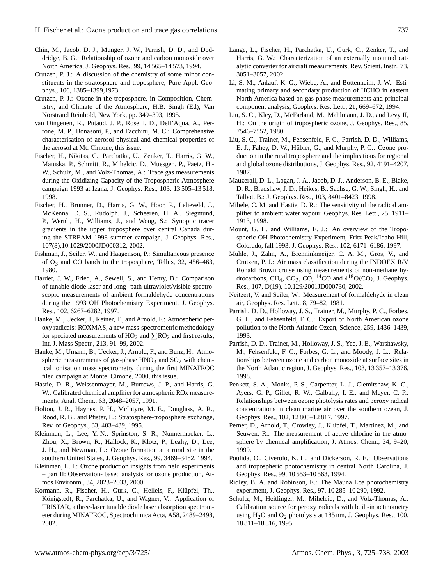- Chin, M., Jacob, D. J., Munger, J. W., Parrish, D. D., and Doddridge, B. G.: Relationship of ozone and carbon monoxide over North America, J. Geophys. Res., 99, 14 565–14 573, 1994.
- Crutzen, P. J.: A discussion of the chemistry of some minor constituents in the stratosphere and troposphere, Pure Appl. Geophys., 106, 1385–1399,1973.
- Crutzen, P. J.: Ozone in the troposphere, in Composition, Chemistry, and Climate of the Atmosphere, H.B. Singh (Ed), Van Norstrand Reinhold, New York, pp. 349–393, 1995.
- van Dingenen, R., Putaud, J. P., Roselli, D., Dell'Aqua, A., Perrone, M. P., Bonasoni, P., and Facchini, M. C.: Comprehensive characterisation of aerosol physical and chemical properties of the aerosol at Mt. Cimone, this issue.
- Fischer, H., Nikitas, C., Parchatka, U., Zenker, T., Harris, G. W., Matuska, P., Schmitt, R., Mihelcic, D., Muesgen, P., Paetz, H.- W., Schulz, M., and Volz-Thomas, A.: Trace gas measurements during the Oxidizing Capacity of the Tropospheric Atmosphere campaign 1993 at Izana, J. Geophys. Res., 103, 13 505–13 518, 1998.
- Fischer, H., Brunner, D., Harris, G. W., Hoor, P., Lelieveld, J., McKenna, D. S., Rudolph, J., Scheeren, H. A., Siegmund, P., Wernli, H., Williams, J., and Wong, S.: Synoptic tracer gradients in the upper troposphere over central Canada during the STREAM 1998 summer campaign, J. Geophys. Res., 107(8),10.1029/2000JD000312, 2002.
- Fishman, J., Seiler, W., and Haagenson, P.: Simultaneous presence of  $O_3$  and CO bands in the troposphere, Tellus, 32, 456–463, 1980.
- Harder, J. W., Fried, A., Sewell, S., and Henry, B.: Comparison of tunable diode laser and long- path ultraviolet/visible spectroscopic measurements of ambient formaldehyde concentrations during the 1993 OH Photochemistry Experiment, J. Geophys. Res., 102, 6267–6282, 1997.
- Hanke, M., Uecker, J., Reiner, T., and Arnold, F.: Atmospheric peroxy radicals: ROXMAS, a new mass-spectrometric methodology for speciated measurements of  $HO_2$  and  $\sum RO_2$  and first results, Int. J. Mass Spectr., 213, 91–99, 2002.
- Hanke, M., Umann, B., Uecker, J., Arnold, F., and Bunz, H.: Atmospheric measurements of gas-phase  $HNO<sub>3</sub>$  and  $SO<sub>2</sub>$  with chemical ionisation mass spectrometry during the first MINATROC filed campaign at Monte. Cimone, 2000, this issue.
- Hastie, D. R., Weissenmayer, M., Burrows, J. P., and Harris, G. W.: Calibrated chemical amplifier for atmospheric ROx measurements, Anal. Chem., 63, 2048–2057, 1991.
- Holton, J. R., Haynes, P. H., McIntyre, M. E., Douglass, A. R., Rood, R. B., and Pfister, L.: Stratosphere-troposphere exchange, Rev. of Geophys., 33, 403–439, 1995.
- Kleinman, L., Lee, Y.-N., Sprinston, S. R., Nunnermacker, L., Zhou, X., Brown, R., Hallock, K., Klotz, P., Leahy, D., Lee, J. H., and Newman, L.: Ozone formation at a rural site in the southern United States, J. Geophys. Res., 99, 3469–3482, 1994.
- Kleinman, L. I.: Ozone production insights from field experiments – part II: Observation- based analysis for ozone production, Atmos.Environm., 34, 2023–2033, 2000.
- Kormann, R., Fischer, H., Gurk, C., Helleis, F., Klüpfel, Th., Königstedt, R., Parchatka, U., and Wagner, V.: Application of TRISTAR, a three-laser tunable diode laser absorption spectrometer during MINATROC, Spectrochimica Acta, A58, 2489–2498, 2002.
- Lange, L., Fischer, H., Parchatka, U., Gurk, C., Zenker, T., and Harris, G. W.: Characterization of an externally mounted catalytic converter for aircraft measurements, Rev. Scient. Instr., 73, 3051–3057, 2002.
- Li, S.-M., Anlauf, K. G., Wiebe, A., and Bottenheim, J. W.: Estimating primary and secondary production of HCHO in eastern North America based on gas phase measurements and principal component analysis, Geophys. Res. Lett., 21, 669–672, 1994.
- Liu, S. C., Kley, D., McFarland, M., Mahlmann, J. D., and Levy II, H.: On the origin of tropospheric ozone, J. Geophys. Res., 85, 7546–7552, 1980.
- Liu, S. C., Trainer, M., Fehsenfeld, F. C., Parrish, D. D., Williams, E. J., Fahey, D. W., Hübler, G., and Murphy, P. C.: Ozone production in the rural troposphere and the implications for regional and global ozone distributions, J. Geophys. Res., 92, 4191–4207, 1987.
- Mauzerall, D. L., Logan, J. A., Jacob, D. J., Anderson, B. E., Blake, D. R., Bradshaw, J. D., Heikes, B., Sachse, G. W., Singh, H., and Talbot, B.: J. Geophys. Res., 103, 8401–8423, 1998.
- Mihele, C. M. and Hastie, D. R.: The sensitivity of the radical amplifier to ambient water vapour, Geophys. Res. Lett., 25, 1911– 1913, 1998.
- Mount, G. H. and Williams, E. J.: An overview of the Tropospheric OH Photochemistry Experiment, Fritz Peak/Idaho Hill, Colorado, fall 1993, J. Geophys. Res., 102, 6171–6186, 1997.
- Mühle, J., Zahn, A., Brenninkmeijer, C. A. M., Gros, V., and Crutzen, P. J.: Air mass classification during the INDOEX R/V Ronald Brown cruise using measurements of non-methane hydrocarbons, CH<sub>4</sub>, CO<sub>2</sub>, CO, <sup>14</sup>CO and  $\delta$ <sup>18</sup>O(CO), J. Geophys. Res., 107, D(19), 10.129/2001JD000730, 2002.
- Neitzert, V. and Seiler, W.: Measurement of formaldehyde in clean air, Geophys. Res. Lett., 8, 79–82, 1981.
- Parrish, D. D., Holloway, J. S., Trainer, M., Murphy, P. C., Forbes, G. L., and Fehsenfeld, F. C.: Export of North American ozone pollution to the North Atlantic Ozean, Science, 259, 1436–1439, 1993.
- Parrish, D. D., Trainer, M., Holloway, J. S., Yee, J. E., Warshawsky, M., Fehsenfeld, F. C., Forbes, G. L., and Moody, J. L.: Relationships between ozone and carbon monoxide at surface sites in the North Atlantic region, J. Geophys. Res., 103, 13 357–13 376, 1998.
- Penkett, S. A., Monks, P. S., Carpenter, L. J., Clemitshaw, K. C., Ayers, G. P., Gillet, R. W., Galbally, I. E., and Meyer, C. P.: Relationships between ozone photolysis rates and peroxy radical concentrations in clean marine air over the southern ozean, J. Geophys. Res., 102, 12 805–12 817, 1997.
- Perner, D., Arnold, T., Crowley, J., Klüpfel, T., Martinez, M., and Seuwen, R.: The measurement of active chlorine in the atmosphere by chemical amplification, J. Atmos. Chem., 34, 9–20, 1999.
- Poulida, O., Civerolo, K. L., and Dickerson, R. E.: Observations and tropospheric photochemistry in central North Carolina, J. Geophys. Res., 99, 10 553–10 563, 1994.
- Ridley, B. A. and Robinson, E.: The Mauna Loa photochemistry experiment, J. Geophys. Res., 97, 10 285–10 290, 1992.
- Schultz, M., Heitlinger, M., Mihelcic, D., and Volz-Thomas, A.: Calibration source for peroxy radicals with built-in actinometry using  $H<sub>2</sub>O$  and  $O<sub>2</sub>$  photolysis at 185 nm, J. Geophys. Res., 100, 18 811–18 816, 1995.